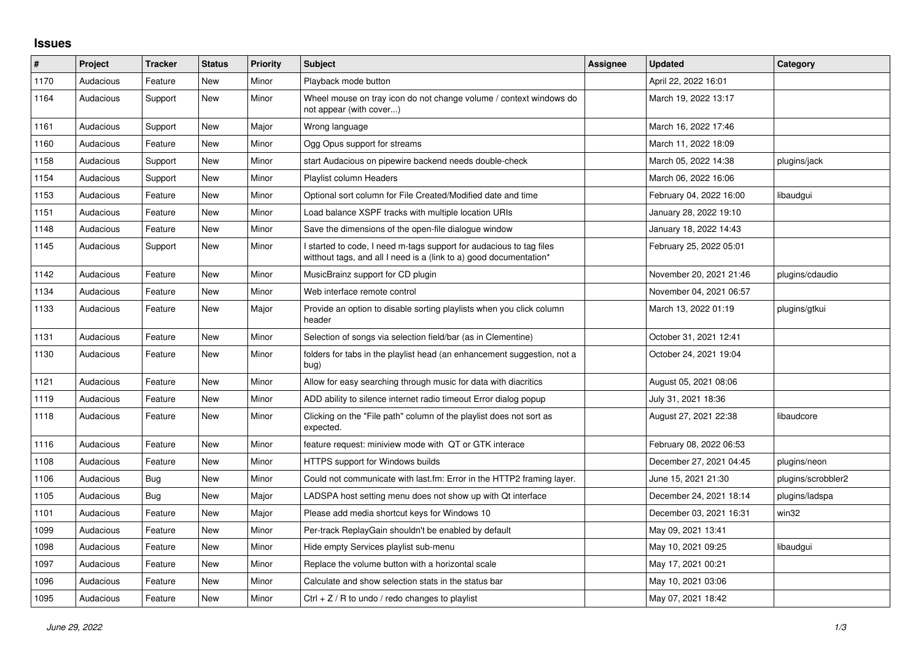## **Issues**

| $\sharp$ | Project   | <b>Tracker</b> | <b>Status</b> | <b>Priority</b> | <b>Subject</b>                                                                                                                            | Assignee | <b>Updated</b>          | Category           |
|----------|-----------|----------------|---------------|-----------------|-------------------------------------------------------------------------------------------------------------------------------------------|----------|-------------------------|--------------------|
| 1170     | Audacious | Feature        | <b>New</b>    | Minor           | Playback mode button                                                                                                                      |          | April 22, 2022 16:01    |                    |
| 1164     | Audacious | Support        | <b>New</b>    | Minor           | Wheel mouse on tray icon do not change volume / context windows do<br>not appear (with cover)                                             |          | March 19, 2022 13:17    |                    |
| 1161     | Audacious | Support        | New           | Major           | Wrong language                                                                                                                            |          | March 16, 2022 17:46    |                    |
| 1160     | Audacious | Feature        | New           | Minor           | Ogg Opus support for streams                                                                                                              |          | March 11, 2022 18:09    |                    |
| 1158     | Audacious | Support        | New           | Minor           | start Audacious on pipewire backend needs double-check                                                                                    |          | March 05, 2022 14:38    | plugins/jack       |
| 1154     | Audacious | Support        | New           | Minor           | <b>Playlist column Headers</b>                                                                                                            |          | March 06, 2022 16:06    |                    |
| 1153     | Audacious | Feature        | New           | Minor           | Optional sort column for File Created/Modified date and time                                                                              |          | February 04, 2022 16:00 | libaudgui          |
| 1151     | Audacious | Feature        | New           | Minor           | Load balance XSPF tracks with multiple location URIs                                                                                      |          | January 28, 2022 19:10  |                    |
| 1148     | Audacious | Feature        | New           | Minor           | Save the dimensions of the open-file dialogue window                                                                                      |          | January 18, 2022 14:43  |                    |
| 1145     | Audacious | Support        | New           | Minor           | I started to code, I need m-tags support for audacious to tag files<br>witthout tags, and all I need is a (link to a) good documentation* |          | February 25, 2022 05:01 |                    |
| 1142     | Audacious | Feature        | New           | Minor           | MusicBrainz support for CD plugin                                                                                                         |          | November 20, 2021 21:46 | plugins/cdaudio    |
| 1134     | Audacious | Feature        | New           | Minor           | Web interface remote control                                                                                                              |          | November 04, 2021 06:57 |                    |
| 1133     | Audacious | Feature        | New           | Major           | Provide an option to disable sorting playlists when you click column<br>header                                                            |          | March 13, 2022 01:19    | plugins/gtkui      |
| 1131     | Audacious | Feature        | <b>New</b>    | Minor           | Selection of songs via selection field/bar (as in Clementine)                                                                             |          | October 31, 2021 12:41  |                    |
| 1130     | Audacious | Feature        | New           | Minor           | folders for tabs in the playlist head (an enhancement suggestion, not a<br>bug)                                                           |          | October 24, 2021 19:04  |                    |
| 1121     | Audacious | Feature        | New           | Minor           | Allow for easy searching through music for data with diacritics                                                                           |          | August 05, 2021 08:06   |                    |
| 1119     | Audacious | Feature        | New           | Minor           | ADD ability to silence internet radio timeout Error dialog popup                                                                          |          | July 31, 2021 18:36     |                    |
| 1118     | Audacious | Feature        | New           | Minor           | Clicking on the "File path" column of the playlist does not sort as<br>expected.                                                          |          | August 27, 2021 22:38   | libaudcore         |
| 1116     | Audacious | Feature        | New           | Minor           | feature request: miniview mode with QT or GTK interace                                                                                    |          | February 08, 2022 06:53 |                    |
| 1108     | Audacious | Feature        | New           | Minor           | HTTPS support for Windows builds                                                                                                          |          | December 27, 2021 04:45 | plugins/neon       |
| 1106     | Audacious | Bug            | New           | Minor           | Could not communicate with last.fm: Error in the HTTP2 framing layer.                                                                     |          | June 15, 2021 21:30     | plugins/scrobbler2 |
| 1105     | Audacious | Bug            | New           | Major           | LADSPA host setting menu does not show up with Qt interface                                                                               |          | December 24, 2021 18:14 | plugins/ladspa     |
| 1101     | Audacious | Feature        | New           | Major           | Please add media shortcut keys for Windows 10                                                                                             |          | December 03, 2021 16:31 | win32              |
| 1099     | Audacious | Feature        | New           | Minor           | Per-track ReplayGain shouldn't be enabled by default                                                                                      |          | May 09, 2021 13:41      |                    |
| 1098     | Audacious | Feature        | New           | Minor           | Hide empty Services playlist sub-menu                                                                                                     |          | May 10, 2021 09:25      | libaudgui          |
| 1097     | Audacious | Feature        | New           | Minor           | Replace the volume button with a horizontal scale                                                                                         |          | May 17, 2021 00:21      |                    |
| 1096     | Audacious | Feature        | New           | Minor           | Calculate and show selection stats in the status bar                                                                                      |          | May 10, 2021 03:06      |                    |
| 1095     | Audacious | Feature        | New           | Minor           | Ctrl $+$ Z / R to undo / redo changes to playlist                                                                                         |          | May 07, 2021 18:42      |                    |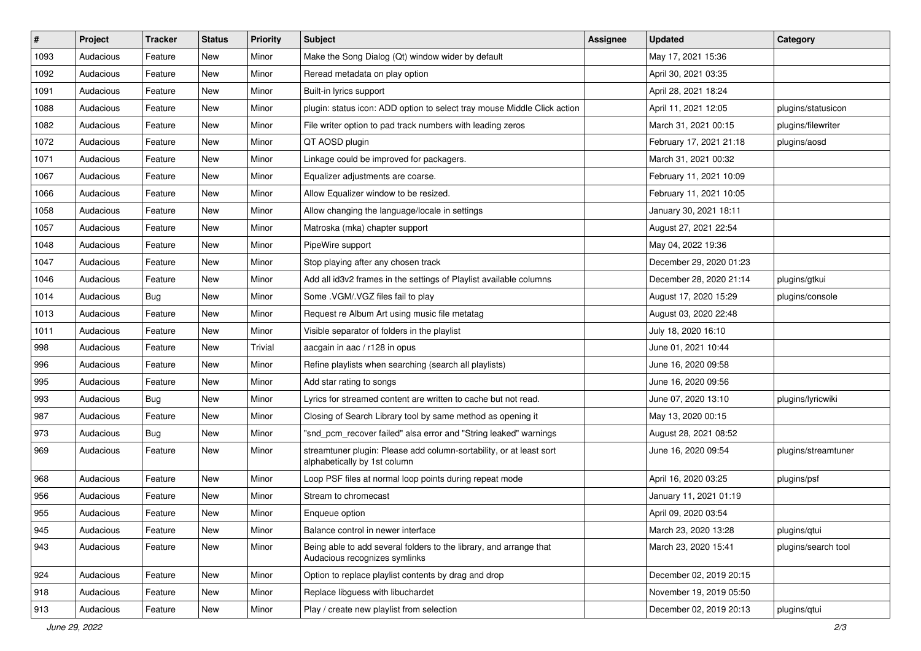| $\vert$ # | Project   | <b>Tracker</b> | <b>Status</b> | <b>Priority</b> | <b>Subject</b>                                                                                      | <b>Assignee</b> | <b>Updated</b>          | Category            |
|-----------|-----------|----------------|---------------|-----------------|-----------------------------------------------------------------------------------------------------|-----------------|-------------------------|---------------------|
| 1093      | Audacious | Feature        | New           | Minor           | Make the Song Dialog (Qt) window wider by default                                                   |                 | May 17, 2021 15:36      |                     |
| 1092      | Audacious | Feature        | New           | Minor           | Reread metadata on play option                                                                      |                 | April 30, 2021 03:35    |                     |
| 1091      | Audacious | Feature        | New           | Minor           | Built-in lyrics support                                                                             |                 | April 28, 2021 18:24    |                     |
| 1088      | Audacious | Feature        | New           | Minor           | plugin: status icon: ADD option to select tray mouse Middle Click action                            |                 | April 11, 2021 12:05    | plugins/statusicon  |
| 1082      | Audacious | Feature        | New           | Minor           | File writer option to pad track numbers with leading zeros                                          |                 | March 31, 2021 00:15    | plugins/filewriter  |
| 1072      | Audacious | Feature        | New           | Minor           | QT AOSD plugin                                                                                      |                 | February 17, 2021 21:18 | plugins/aosd        |
| 1071      | Audacious | Feature        | New           | Minor           | Linkage could be improved for packagers.                                                            |                 | March 31, 2021 00:32    |                     |
| 1067      | Audacious | Feature        | New           | Minor           | Equalizer adjustments are coarse.                                                                   |                 | February 11, 2021 10:09 |                     |
| 1066      | Audacious | Feature        | New           | Minor           | Allow Equalizer window to be resized.                                                               |                 | February 11, 2021 10:05 |                     |
| 1058      | Audacious | Feature        | New           | Minor           | Allow changing the language/locale in settings                                                      |                 | January 30, 2021 18:11  |                     |
| 1057      | Audacious | Feature        | New           | Minor           | Matroska (mka) chapter support                                                                      |                 | August 27, 2021 22:54   |                     |
| 1048      | Audacious | Feature        | New           | Minor           | PipeWire support                                                                                    |                 | May 04, 2022 19:36      |                     |
| 1047      | Audacious | Feature        | New           | Minor           | Stop playing after any chosen track                                                                 |                 | December 29, 2020 01:23 |                     |
| 1046      | Audacious | Feature        | New           | Minor           | Add all id3v2 frames in the settings of Playlist available columns                                  |                 | December 28, 2020 21:14 | plugins/gtkui       |
| 1014      | Audacious | <b>Bug</b>     | New           | Minor           | Some .VGM/.VGZ files fail to play                                                                   |                 | August 17, 2020 15:29   | plugins/console     |
| 1013      | Audacious | Feature        | New           | Minor           | Request re Album Art using music file metatag                                                       |                 | August 03, 2020 22:48   |                     |
| 1011      | Audacious | Feature        | New           | Minor           | Visible separator of folders in the playlist                                                        |                 | July 18, 2020 16:10     |                     |
| 998       | Audacious | Feature        | New           | Trivial         | aacgain in aac / r128 in opus                                                                       |                 | June 01, 2021 10:44     |                     |
| 996       | Audacious | Feature        | New           | Minor           | Refine playlists when searching (search all playlists)                                              |                 | June 16, 2020 09:58     |                     |
| 995       | Audacious | Feature        | New           | Minor           | Add star rating to songs                                                                            |                 | June 16, 2020 09:56     |                     |
| 993       | Audacious | Bug            | New           | Minor           | Lyrics for streamed content are written to cache but not read.                                      |                 | June 07, 2020 13:10     | plugins/lyricwiki   |
| 987       | Audacious | Feature        | New           | Minor           | Closing of Search Library tool by same method as opening it                                         |                 | May 13, 2020 00:15      |                     |
| 973       | Audacious | <b>Bug</b>     | New           | Minor           | "snd_pcm_recover failed" alsa error and "String leaked" warnings                                    |                 | August 28, 2021 08:52   |                     |
| 969       | Audacious | Feature        | New           | Minor           | streamtuner plugin: Please add column-sortability, or at least sort<br>alphabetically by 1st column |                 | June 16, 2020 09:54     | plugins/streamtuner |
| 968       | Audacious | Feature        | New           | Minor           | Loop PSF files at normal loop points during repeat mode                                             |                 | April 16, 2020 03:25    | plugins/psf         |
| 956       | Audacious | Feature        | New           | Minor           | Stream to chromecast                                                                                |                 | January 11, 2021 01:19  |                     |
| 955       | Audacious | Feature        | New           | Minor           | Enqueue option                                                                                      |                 | April 09, 2020 03:54    |                     |
| 945       | Audacious | Feature        | New           | Minor           | Balance control in newer interface                                                                  |                 | March 23, 2020 13:28    | plugins/qtui        |
| 943       | Audacious | Feature        | New           | Minor           | Being able to add several folders to the library, and arrange that<br>Audacious recognizes symlinks |                 | March 23, 2020 15:41    | plugins/search tool |
| 924       | Audacious | Feature        | New           | Minor           | Option to replace playlist contents by drag and drop                                                |                 | December 02, 2019 20:15 |                     |
| 918       | Audacious | Feature        | New           | Minor           | Replace libguess with libuchardet                                                                   |                 | November 19, 2019 05:50 |                     |
| 913       | Audacious | Feature        | New           | Minor           | Play / create new playlist from selection                                                           |                 | December 02, 2019 20:13 | plugins/qtui        |